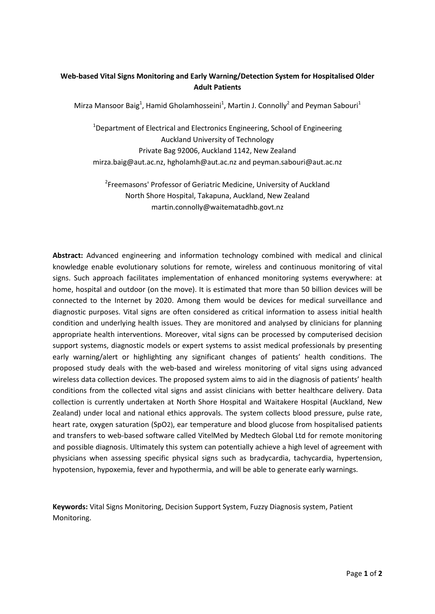## **Web-based Vital Signs Monitoring and Early Warning/Detection System for Hospitalised Older Adult Patients**

Mirza Mansoor Baig<sup>1</sup>, Hamid Gholamhosseini<sup>1</sup>, Martin J. Connolly<sup>2</sup> and Peyman Sabouri<sup>1</sup>

<sup>1</sup>Department of Electrical and Electronics Engineering, School of Engineering Auckland University of Technology Private Bag 92006, Auckland 1142, New Zealand mirza.baig@aut.ac.nz, hgholamh@aut.ac.nz and peyman.sabouri@aut.ac.nz

<sup>2</sup>Freemasons' Professor of Geriatric Medicine, University of Auckland North Shore Hospital, Takapuna, Auckland, New Zealand martin.connolly@waitematadhb.govt.nz

**Abstract:** Advanced engineering and information technology combined with medical and clinical knowledge enable evolutionary solutions for remote, wireless and continuous monitoring of vital signs. Such approach facilitates implementation of enhanced monitoring systems everywhere: at home, hospital and outdoor (on the move). It is estimated that more than 50 billion devices will be connected to the Internet by 2020. Among them would be devices for medical surveillance and diagnostic purposes. Vital signs are often considered as critical information to assess initial health condition and underlying health issues. They are monitored and analysed by clinicians for planning appropriate health interventions. Moreover, vital signs can be processed by computerised decision support systems, diagnostic models or expert systems to assist medical professionals by presenting early warning/alert or highlighting any significant changes of patients' health conditions. The proposed study deals with the web-based and wireless monitoring of vital signs using advanced wireless data collection devices. The proposed system aims to aid in the diagnosis of patients' health conditions from the collected vital signs and assist clinicians with better healthcare delivery. Data collection is currently undertaken at North Shore Hospital and Waitakere Hospital (Auckland, New Zealand) under local and national ethics approvals. The system collects blood pressure, pulse rate, heart rate, oxygen saturation (SpO2), ear temperature and blood glucose from hospitalised patients and transfers to web-based software called VitelMed by Medtech Global Ltd for remote monitoring and possible diagnosis. Ultimately this system can potentially achieve a high level of agreement with physicians when assessing specific physical signs such as bradycardia, tachycardia, hypertension, hypotension, hypoxemia, fever and hypothermia, and will be able to generate early warnings.

**Keywords:** Vital Signs Monitoring, Decision Support System, Fuzzy Diagnosis system, Patient Monitoring.